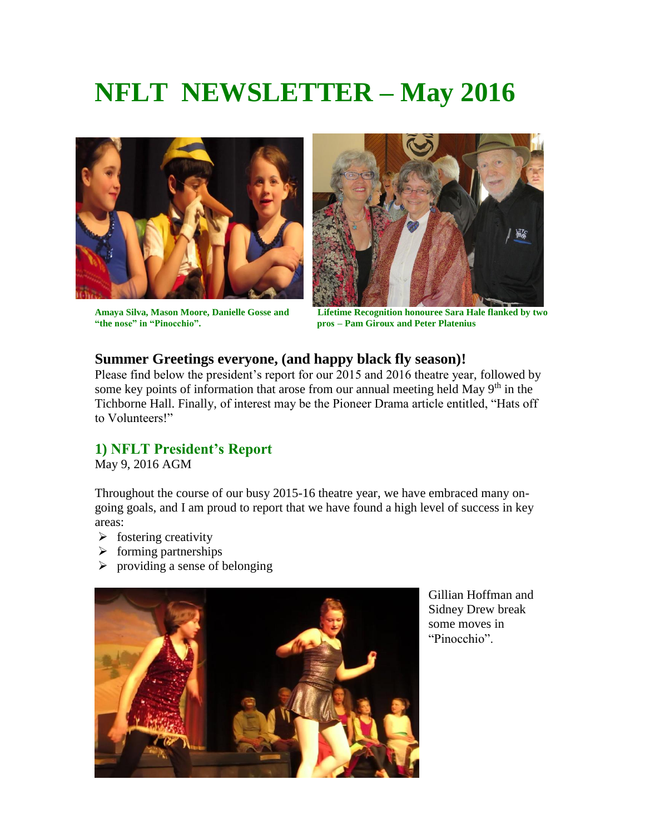# **NFLT NEWSLETTER – May 2016**





**Amaya Silva, Mason Moore, Danielle Gosse and Lifetime Recognition honouree Sara Hale flanked by two**  pros – Pam Giroux and Peter Platenius

#### **Summer Greetings everyone, (and happy black fly season)!**

Please find below the president's report for our 2015 and 2016 theatre year, followed by some key points of information that arose from our annual meeting held May  $9<sup>th</sup>$  in the Tichborne Hall. Finally, of interest may be the Pioneer Drama article entitled, "Hats off to Volunteers!"

#### **1) NFLT President's Report**

May 9, 2016 AGM

Throughout the course of our busy 2015-16 theatre year, we have embraced many ongoing goals, and I am proud to report that we have found a high level of success in key areas:

- $\triangleright$  fostering creativity
- $\triangleright$  forming partnerships
- $\triangleright$  providing a sense of belonging



Gillian Hoffman and Sidney Drew break some moves in "Pinocchio".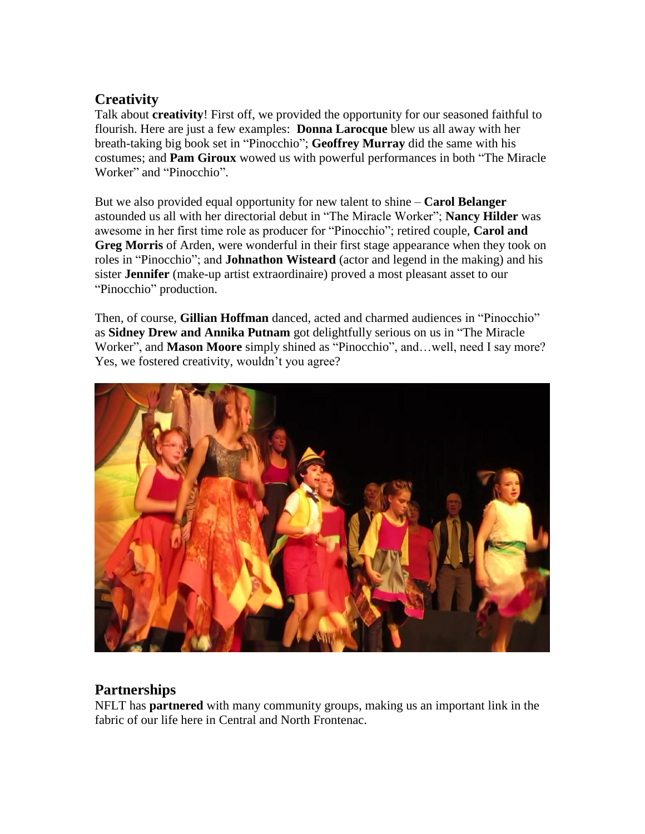### **Creativity**

Talk about **creativity**! First off, we provided the opportunity for our seasoned faithful to flourish. Here are just a few examples: **Donna Larocque** blew us all away with her breath-taking big book set in "Pinocchio"; **Geoffrey Murray** did the same with his costumes; and **Pam Giroux** wowed us with powerful performances in both "The Miracle Worker" and "Pinocchio".

But we also provided equal opportunity for new talent to shine – **Carol Belanger** astounded us all with her directorial debut in "The Miracle Worker"; **Nancy Hilder** was awesome in her first time role as producer for "Pinocchio"; retired couple, **Carol and Greg Morris** of Arden, were wonderful in their first stage appearance when they took on roles in "Pinocchio"; and **Johnathon Wisteard** (actor and legend in the making) and his sister **Jennifer** (make-up artist extraordinaire) proved a most pleasant asset to our "Pinocchio" production.

Then, of course, **Gillian Hoffman** danced, acted and charmed audiences in "Pinocchio" as **Sidney Drew and Annika Putnam** got delightfully serious on us in "The Miracle Worker", and **Mason Moore** simply shined as "Pinocchio", and…well, need I say more? Yes, we fostered creativity, wouldn't you agree?



## **Partnerships**

NFLT has **partnered** with many community groups, making us an important link in the fabric of our life here in Central and North Frontenac.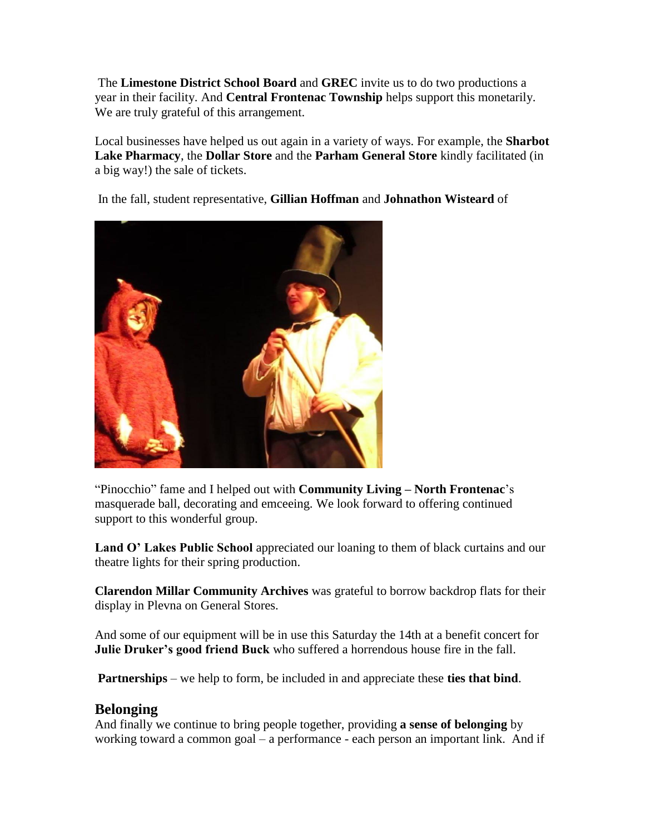The **Limestone District School Board** and **GREC** invite us to do two productions a year in their facility. And **Central Frontenac Township** helps support this monetarily. We are truly grateful of this arrangement.

Local businesses have helped us out again in a variety of ways. For example, the **Sharbot Lake Pharmacy**, the **Dollar Store** and the **Parham General Store** kindly facilitated (in a big way!) the sale of tickets.

In the fall, student representative, **Gillian Hoffman** and **Johnathon Wisteard** of



"Pinocchio" fame and I helped out with **Community Living – North Frontenac**'s masquerade ball, decorating and emceeing. We look forward to offering continued support to this wonderful group.

Land O' Lakes Public School appreciated our loaning to them of black curtains and our theatre lights for their spring production.

**Clarendon Millar Community Archives** was grateful to borrow backdrop flats for their display in Plevna on General Stores.

And some of our equipment will be in use this Saturday the 14th at a benefit concert for **Julie Druker's good friend Buck** who suffered a horrendous house fire in the fall.

**Partnerships** – we help to form, be included in and appreciate these **ties that bind**.

#### **Belonging**

And finally we continue to bring people together, providing **a sense of belonging** by working toward a common goal – a performance - each person an important link. And if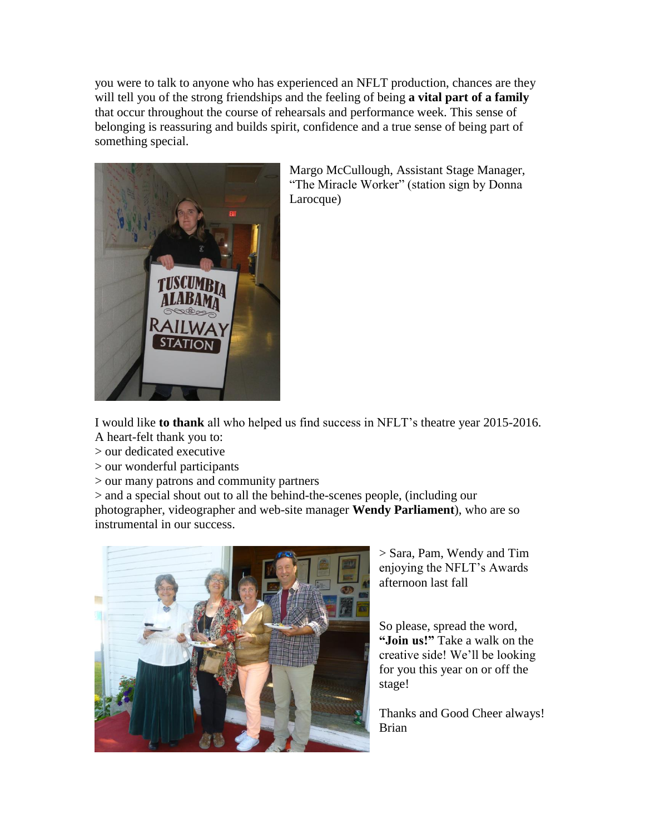you were to talk to anyone who has experienced an NFLT production, chances are they will tell you of the strong friendships and the feeling of being **a vital part of a family** that occur throughout the course of rehearsals and performance week. This sense of belonging is reassuring and builds spirit, confidence and a true sense of being part of something special.



Margo McCullough, Assistant Stage Manager, "The Miracle Worker" (station sign by Donna Larocque)

I would like **to thank** all who helped us find success in NFLT's theatre year 2015-2016.

A heart-felt thank you to:

> our dedicated executive

> our wonderful participants

> our many patrons and community partners

> and a special shout out to all the behind-the-scenes people, (including our photographer, videographer and web-site manager **Wendy Parliament**), who are so instrumental in our success.



> Sara, Pam, Wendy and Tim enjoying the NFLT's Awards afternoon last fall

So please, spread the word, **"Join us!"** Take a walk on the creative side! We'll be looking for you this year on or off the stage!

Thanks and Good Cheer always! Brian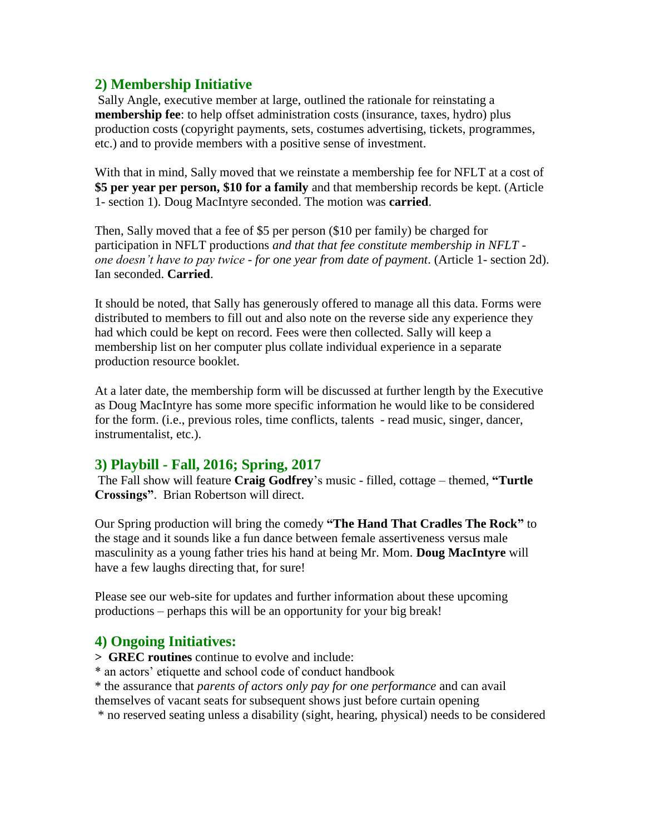#### **2) Membership Initiative**

Sally Angle, executive member at large, outlined the rationale for reinstating a **membership fee**: to help offset administration costs (insurance, taxes, hydro) plus production costs (copyright payments, sets, costumes advertising, tickets, programmes, etc.) and to provide members with a positive sense of investment.

With that in mind, Sally moved that we reinstate a membership fee for NFLT at a cost of **\$5 per year per person, \$10 for a family** and that membership records be kept. (Article 1- section 1). Doug MacIntyre seconded. The motion was **carried**.

Then, Sally moved that a fee of \$5 per person (\$10 per family) be charged for participation in NFLT productions *and that that fee constitute membership in NFLT one doesn't have to pay twice - for one year from date of payment*. (Article 1- section 2d). Ian seconded. **Carried**.

It should be noted, that Sally has generously offered to manage all this data. Forms were distributed to members to fill out and also note on the reverse side any experience they had which could be kept on record. Fees were then collected. Sally will keep a membership list on her computer plus collate individual experience in a separate production resource booklet.

At a later date, the membership form will be discussed at further length by the Executive as Doug MacIntyre has some more specific information he would like to be considered for the form. (i.e., previous roles, time conflicts, talents - read music, singer, dancer, instrumentalist, etc.).

#### **3) Playbill - Fall, 2016; Spring, 2017**

The Fall show will feature **Craig Godfrey**'s music - filled, cottage – themed, **"Turtle Crossings"**. Brian Robertson will direct.

Our Spring production will bring the comedy **"The Hand That Cradles The Rock"** to the stage and it sounds like a fun dance between female assertiveness versus male masculinity as a young father tries his hand at being Mr. Mom. **Doug MacIntyre** will have a few laughs directing that, for sure!

Please see our web-site for updates and further information about these upcoming productions – perhaps this will be an opportunity for your big break!

#### **4) Ongoing Initiatives:**

**> GREC routines** continue to evolve and include:

\* an actors' etiquette and school code of conduct handbook

\* the assurance that *parents of actors only pay for one performance* and can avail themselves of vacant seats for subsequent shows just before curtain opening

\* no reserved seating unless a disability (sight, hearing, physical) needs to be considered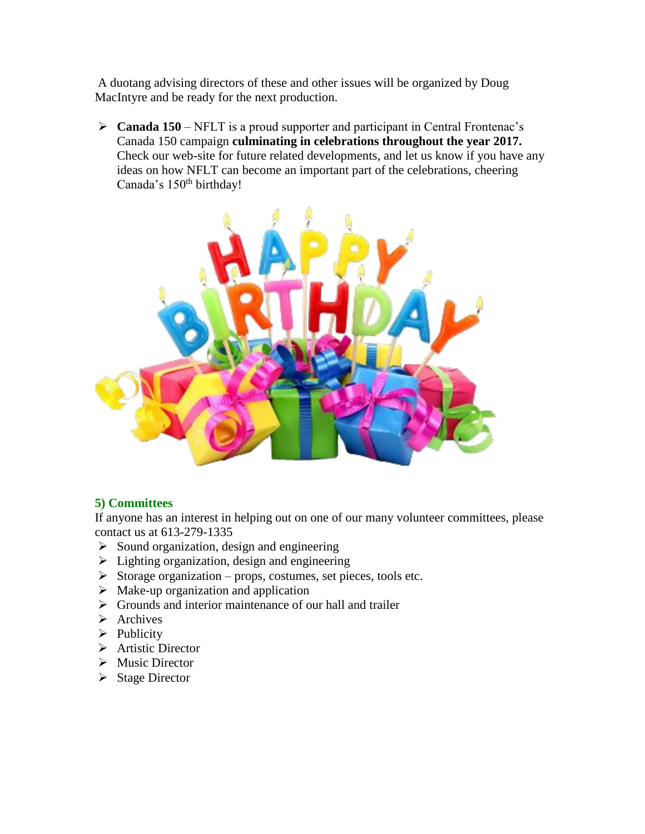A duotang advising directors of these and other issues will be organized by Doug MacIntyre and be ready for the next production.

 **Canada 150** – NFLT is a proud supporter and participant in Central Frontenac's Canada 150 campaign **culminating in celebrations throughout the year 2017.** Check our web-site for future related developments, and let us know if you have any ideas on how NFLT can become an important part of the celebrations, cheering Canada's 150<sup>th</sup> birthday!



#### **5) Committees**

If anyone has an interest in helping out on one of our many volunteer committees, please contact us at 613-279-1335

- $\triangleright$  Sound organization, design and engineering
- $\triangleright$  Lighting organization, design and engineering
- $\triangleright$  Storage organization props, costumes, set pieces, tools etc.
- $\triangleright$  Make-up organization and application
- $\triangleright$  Grounds and interior maintenance of our hall and trailer
- $\triangleright$  Archives
- $\triangleright$  Publicity
- > Artistic Director
- $\triangleright$  Music Director
- $\triangleright$  Stage Director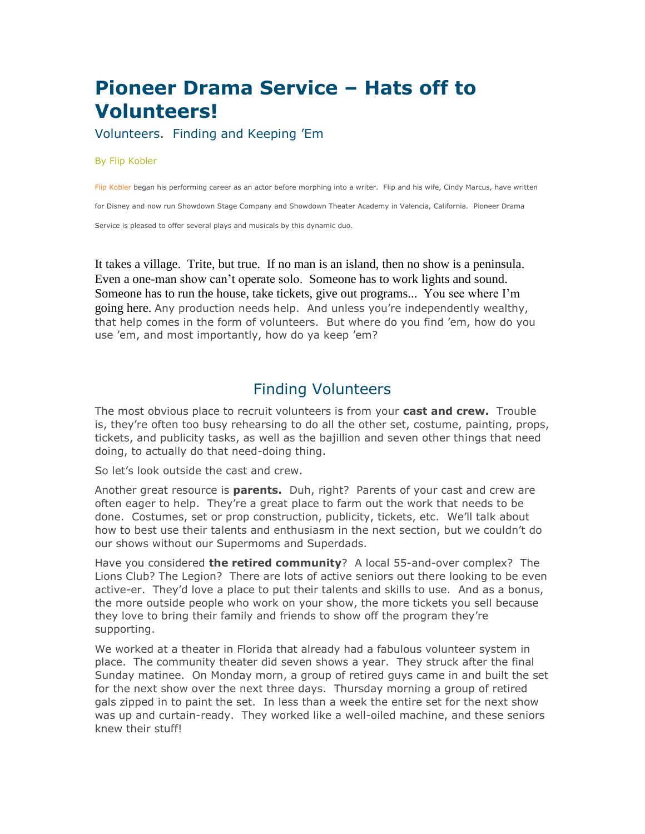# **Pioneer Drama Service – Hats off to Volunteers!**

Volunteers. Finding and Keeping 'Em

#### By Flip Kobler

Flip [Kobler](http://www.pioneerdrama.com/AuthorDetail.asp?ac=KOBLERFLIP) began his performing career as an actor before morphing into a writer. Flip and his wife, Cindy Marcus, have written

for Disney and now run Showdown Stage Company and Showdown Theater Academy in Valencia, California. Pioneer Drama

Service is pleased to offer several plays and musicals by this dynamic duo.

It takes a village. Trite, but true. If no man is an island, then no show is a peninsula. Even a one-man show can't operate solo. Someone has to work lights and sound. Someone has to run the house, take tickets, give out programs... You see where I'm going here. Any production needs help. And unless you're independently wealthy, that help comes in the form of volunteers. But where do you find 'em, how do you use 'em, and most importantly, how do ya keep 'em?

# Finding Volunteers

The most obvious place to recruit volunteers is from your **cast and crew.** Trouble is, they're often too busy rehearsing to do all the other set, costume, painting, props, tickets, and publicity tasks, as well as the bajillion and seven other things that need doing, to actually do that need-doing thing.

So let's look outside the cast and crew.

Another great resource is **parents.** Duh, right? Parents of your cast and crew are often eager to help. They're a great place to farm out the work that needs to be done. Costumes, set or prop construction, publicity, tickets, etc. We'll talk about how to best use their talents and enthusiasm in the next section, but we couldn't do our shows without our Supermoms and Superdads.

Have you considered **the retired community**? A local 55-and-over complex? The Lions Club? The Legion? There are lots of active seniors out there looking to be even active-er. They'd love a place to put their talents and skills to use. And as a bonus, the more outside people who work on your show, the more tickets you sell because they love to bring their family and friends to show off the program they're supporting.

We worked at a theater in Florida that already had a fabulous volunteer system in place. The community theater did seven shows a year. They struck after the final Sunday matinee. On Monday morn, a group of retired guys came in and built the set for the next show over the next three days. Thursday morning a group of retired gals zipped in to paint the set. In less than a week the entire set for the next show was up and curtain-ready. They worked like a well-oiled machine, and these seniors knew their stuff!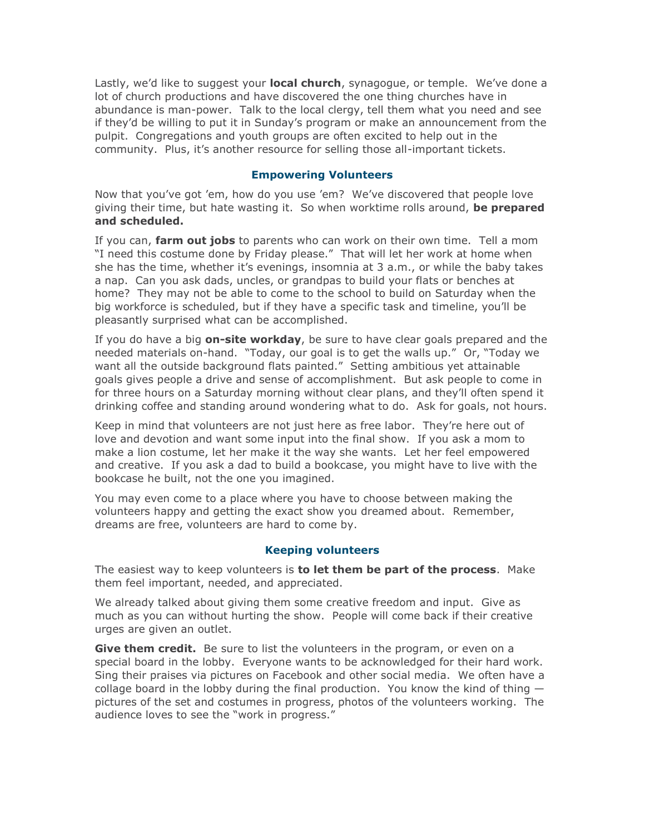Lastly, we'd like to suggest your **local church**, synagogue, or temple. We've done a lot of church productions and have discovered the one thing churches have in abundance is man-power. Talk to the local clergy, tell them what you need and see if they'd be willing to put it in Sunday's program or make an announcement from the pulpit. Congregations and youth groups are often excited to help out in the community. Plus, it's another resource for selling those all-important tickets.

#### **Empowering Volunteers**

Now that you've got 'em, how do you use 'em? We've discovered that people love giving their time, but hate wasting it. So when worktime rolls around, **be prepared and scheduled.**

If you can, **farm out jobs** to parents who can work on their own time. Tell a mom "I need this costume done by Friday please." That will let her work at home when she has the time, whether it's evenings, insomnia at 3 a.m., or while the baby takes a nap. Can you ask dads, uncles, or grandpas to build your flats or benches at home? They may not be able to come to the school to build on Saturday when the big workforce is scheduled, but if they have a specific task and timeline, you'll be pleasantly surprised what can be accomplished.

If you do have a big **on-site workday**, be sure to have clear goals prepared and the needed materials on-hand. "Today, our goal is to get the walls up." Or, "Today we want all the outside background flats painted." Setting ambitious yet attainable goals gives people a drive and sense of accomplishment. But ask people to come in for three hours on a Saturday morning without clear plans, and they'll often spend it drinking coffee and standing around wondering what to do. Ask for goals, not hours.

Keep in mind that volunteers are not just here as free labor. They're here out of love and devotion and want some input into the final show. If you ask a mom to make a lion costume, let her make it the way she wants. Let her feel empowered and creative. If you ask a dad to build a bookcase, you might have to live with the bookcase he built, not the one you imagined.

You may even come to a place where you have to choose between making the volunteers happy and getting the exact show you dreamed about. Remember, dreams are free, volunteers are hard to come by.

#### **Keeping volunteers**

The easiest way to keep volunteers is **to let them be part of the process**. Make them feel important, needed, and appreciated.

We already talked about giving them some creative freedom and input. Give as much as you can without hurting the show. People will come back if their creative urges are given an outlet.

**Give them credit.** Be sure to list the volunteers in the program, or even on a special board in the lobby. Everyone wants to be acknowledged for their hard work. Sing their praises via pictures on Facebook and other social media. We often have a collage board in the lobby during the final production. You know the kind of thing pictures of the set and costumes in progress, photos of the volunteers working. The audience loves to see the "work in progress."